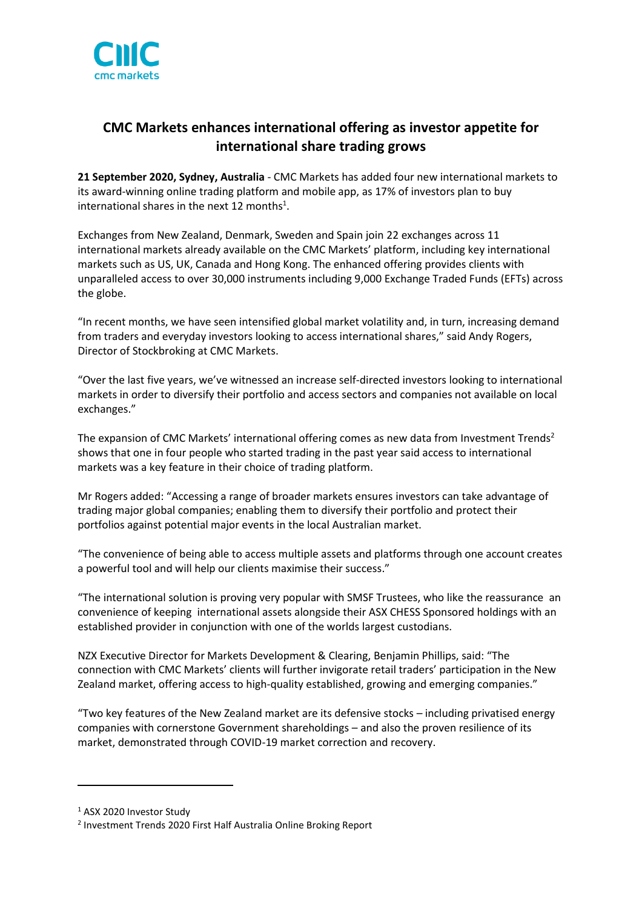

# **CMC Markets enhances international offering as investor appetite for international share trading grows**

**21 September 2020, Sydney, Australia** - CMC Markets has added four new international markets to its award-winning online trading platform and mobile app, as 17% of investors plan to buy international shares in the next 12 months<sup>1</sup>.

Exchanges from New Zealand, Denmark, Sweden and Spain join 22 exchanges across 11 international markets already available on the CMC Markets' platform, including key international markets such as US, UK, Canada and Hong Kong. The enhanced offering provides clients with unparalleled access to over 30,000 instruments including 9,000 Exchange Traded Funds (EFTs) across the globe.

"In recent months, we have seen intensified global market volatility and, in turn, increasing demand from traders and everyday investors looking to access international shares," said Andy Rogers, Director of Stockbroking at CMC Markets.

"Over the last five years, we've witnessed an increase self-directed investors looking to international markets in order to diversify their portfolio and access sectors and companies not available on local exchanges."

The expansion of CMC Markets' international offering comes as new data from Investment Trends<sup>2</sup> shows that one in four people who started trading in the past year said access to international markets was a key feature in their choice of trading platform.

Mr Rogers added: "Accessing a range of broader markets ensures investors can take advantage of trading major global companies; enabling them to diversify their portfolio and protect their portfolios against potential major events in the local Australian market.

"The convenience of being able to access multiple assets and platforms through one account creates a powerful tool and will help our clients maximise their success."

"The international solution is proving very popular with SMSF Trustees, who like the reassurance an convenience of keeping international assets alongside their ASX CHESS Sponsored holdings with an established provider in conjunction with one of the worlds largest custodians.

NZX Executive Director for Markets Development & Clearing, Benjamin Phillips, said: "The connection with CMC Markets' clients will further invigorate retail traders' participation in the New Zealand market, offering access to high-quality established, growing and emerging companies."

"Two key features of the New Zealand market are its defensive stocks – including privatised energy companies with cornerstone Government shareholdings – and also the proven resilience of its market, demonstrated through COVID-19 market correction and recovery.

<sup>&</sup>lt;sup>1</sup> ASX 2020 Investor Study

<sup>2</sup> Investment Trends 2020 First Half Australia Online Broking Report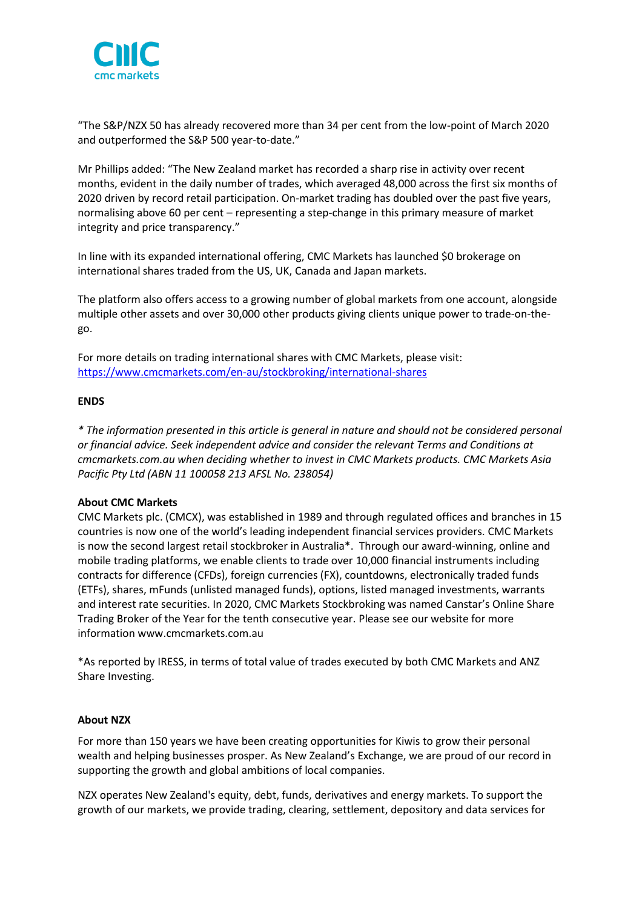

"The S&P/NZX 50 has already recovered more than 34 per cent from the low-point of March 2020 and outperformed the S&P 500 year-to-date."

Mr Phillips added: "The New Zealand market has recorded a sharp rise in activity over recent months, evident in the daily number of trades, which averaged 48,000 across the first six months of 2020 driven by record retail participation. On-market trading has doubled over the past five years, normalising above 60 per cent – representing a step-change in this primary measure of market integrity and price transparency."

In line with its expanded international offering, CMC Markets has launched \$0 brokerage on international shares traded from the US, UK, Canada and Japan markets.

The platform also offers access to a growing number of global markets from one account, alongside multiple other assets and over 30,000 other products giving clients unique power to trade-on-thego.

For more details on trading international shares with CMC Markets, please visit: <https://www.cmcmarkets.com/en-au/stockbroking/international-shares>

## **ENDS**

*\* The information presented in this article is general in nature and should not be considered personal or financial advice. Seek independent advice and consider the relevant Terms and Conditions at cmcmarkets.com.au when deciding whether to invest in CMC Markets products. CMC Markets Asia Pacific Pty Ltd (ABN 11 100058 213 AFSL No. 238054)*

### **About CMC Markets**

CMC Markets plc. [\(CMCX\)](http://www.cmcmarkets.com/group/), was established in 1989 and through regulated offices and branches in 15 countries is now one of the world's leading independent financial services providers. CMC Markets is now the second largest retail stockbroker in Australia\*. Through our award-winning, online and mobile trading platforms, we enable clients to trade over 10,000 financial instruments including contracts for difference (CFDs), foreign currencies (FX), countdowns, electronically traded funds (ETFs), shares, mFunds (unlisted managed funds), options, listed managed investments, warrants and interest rate securities. In 2020, CMC Markets Stockbroking was named Canstar's Online Share Trading Broker of the Year for the tenth consecutive year. Please see our website for more information [www.cmcmarkets.com.au](http://www.cmcmarkets.com.au/)

\*As reported by IRESS, in terms of total value of trades executed by both CMC Markets and ANZ Share Investing.

### **About NZX**

For more than 150 years we have been creating opportunities for Kiwis to grow their personal wealth and helping businesses prosper. As New Zealand's Exchange, we are proud of our record in supporting the growth and global ambitions of local companies.

NZX operates New Zealand's equity, debt, funds, derivatives and energy markets. To support the growth of our markets, we provide trading, clearing, settlement, depository and data services for